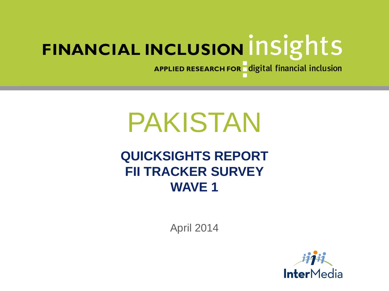APPLIED RESEARCH FOR digital financial inclusion

# PAKISTAN

## **QUICKSIGHTS REPORT FII TRACKER SURVEY WAVE 1**

April 2014

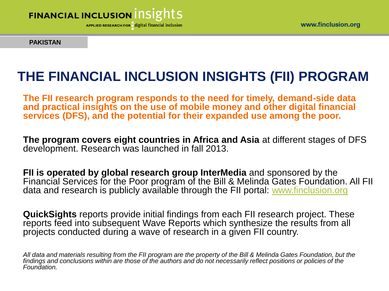

APPLIED RESEARCH FOR digital financial inclusion

**PAKISTAN**

# **THE FINANCIAL INCLUSION INSIGHTS (FII) PROGRAM**

**The FII research program responds to the need for timely, demand-side data and practical insights on the use of mobile money and other digital financial services (DFS), and the potential for their expanded use among the poor.** 

**The program covers eight countries in Africa and Asia** at different stages of DFS development. Research was launched in fall 2013.

**FII is operated by global research group InterMedia** and sponsored by the Financial Services for the Poor program of the Bill & Melinda Gates Foundation. All FII data and research is publicly available through the FII portal: [www.finclusion.org](http://www.finclusion.org/)

**QuickSights** reports provide initial findings from each FII research project. These reports feed into subsequent Wave Reports which synthesize the results from all projects conducted during a wave of research in a given FII country.

*All data and materials resulting from the FII program are the property of the Bill & Melinda Gates Foundation, but the findings and conclusions within are those of the authors and do not necessarily reflect positions or policies of the Foundation.*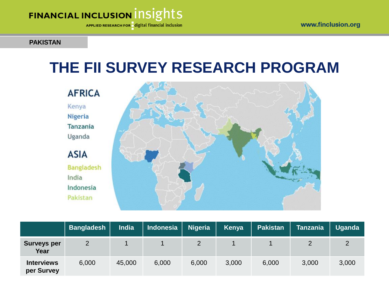APPLIED RESEARCH FOR digital financial inclusion

#### **PAKISTAN**

# **THE FII SURVEY RESEARCH PROGRAM**

**AFRICA** Kenya Nigeria **Tanzania** Uganda **ASIA Bangladesh** 

India Indonesia Pakistan



|                                 | <b>Bangladesh</b> | <b>India</b> | Indonesia | <b>Nigeria</b> | Kenya | <b>Pakistan</b> | <b>Tanzania</b> | <b>Uganda</b> |
|---------------------------------|-------------------|--------------|-----------|----------------|-------|-----------------|-----------------|---------------|
| <b>Surveys per</b><br>Year      | 2                 |              |           |                |       |                 |                 |               |
| <b>Interviews</b><br>per Survey | 6,000             | 45,000       | 6,000     | 6,000          | 3,000 | 6,000           | 3,000           | 3,000         |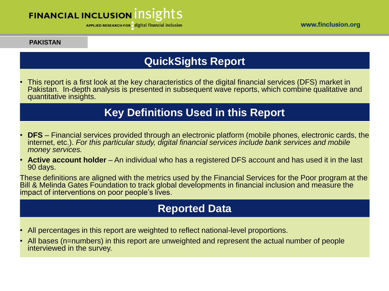APPLIED RESEARCH FOR digital financial inclusion

#### **PAKISTAN**

### **QuickSights Report**

• This report is a first look at the key characteristics of the digital financial services (DFS) market in Pakistan. In-depth analysis is presented in subsequent wave reports, which combine qualitative and quantitative insights.

### **Key Definitions Used in this Report**

- **DFS** Financial services provided through an electronic platform (mobile phones, electronic cards, the internet, etc.). *For this particular study, digital financial services include bank services and mobile money services.*
- **Active account holder** An individual who has a registered DFS account and has used it in the last 90 days.

These definitions are aligned with the metrics used by the Financial Services for the Poor program at the Bill & Melinda Gates Foundation to track global developments in financial inclusion and measure the impact of interventions on poor people's lives.

### **Reported Data**

- All percentages in this report are weighted to reflect national-level proportions.
- All bases (n=numbers) in this report are unweighted and represent the actual number of people interviewed in the survey.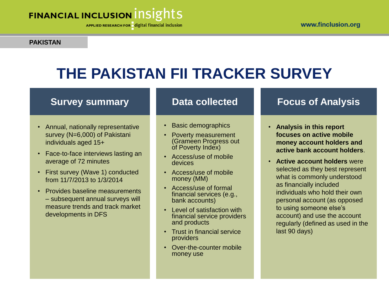APPLIED RESEARCH FOR digital financial inclusion

#### **PAKISTAN**

# **THE PAKISTAN FII TRACKER SURVEY**

#### **Survey summary**

- Annual, nationally representative survey (N=6,000) of Pakistani individuals aged 15+
- Face-to-face interviews lasting an average of 72 minutes
- First survey (Wave 1) conducted from 11/7/2013 to 1/3/2014
- Provides baseline measurements – subsequent annual surveys will measure trends and track market developments in DFS

#### **Data collected**

- Basic demographics
- Poverty measurement (Grameen Progress out of Poverty Index)
- Access/use of mobile devices
- Access/use of mobile money (MM)
- Access/use of formal financial services (e.g., bank accounts)
- Level of satisfaction with financial service providers and products
- Trust in financial service providers
- Over-the-counter mobile money use

#### **Focus of Analysis**

- **Analysis in this report focuses on active mobile money account holders and active bank account holders**.
- **Active account holders** were selected as they best represent what is commonly understood as financially included individuals who hold their own personal account (as opposed to using someone else's account) and use the account regularly (defined as used in the last 90 days)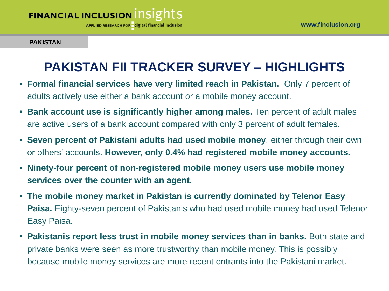**APPLIED RESEARCH FOR** digital financial inclusion

#### **PAKISTAN**

# **PAKISTAN FII TRACKER SURVEY – HIGHLIGHTS**

- **Formal financial services have very limited reach in Pakistan.** Only 7 percent of adults actively use either a bank account or a mobile money account.
- **Bank account use is significantly higher among males.** Ten percent of adult males are active users of a bank account compared with only 3 percent of adult females.
- **Seven percent of Pakistani adults had used mobile money**, either through their own or others' accounts. **However, only 0.4% had registered mobile money accounts.**
- **Ninety-four percent of non-registered mobile money users use mobile money services over the counter with an agent.**
- **The mobile money market in Pakistan is currently dominated by Telenor Easy Paisa.** Eighty-seven percent of Pakistanis who had used mobile money had used Telenor Easy Paisa.
- **Pakistanis report less trust in mobile money services than in banks.** Both state and private banks were seen as more trustworthy than mobile money. This is possibly because mobile money services are more recent entrants into the Pakistani market.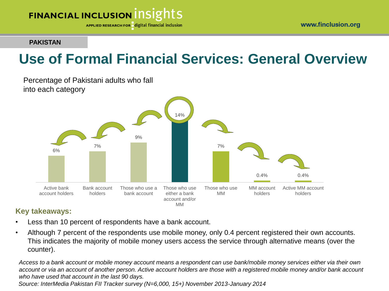

APPLIED RESEARCH FOR digital financial inclusion

#### **PAKISTAN**

# **Use of Formal Financial Services: General Overview**

Percentage of Pakistani adults who fall into each category



#### **Key takeaways:**

- Less than 10 percent of respondents have a bank account.
- Although 7 percent of the respondents use mobile money, only 0.4 percent registered their own accounts. This indicates the majority of mobile money users access the service through alternative means (over the counter).

*Access to a bank account or mobile money account means a respondent can use bank/mobile money services either via their own account or via an account of another person. Active account holders are those with a registered mobile money and/or bank account who have used that account in the last 90 days.*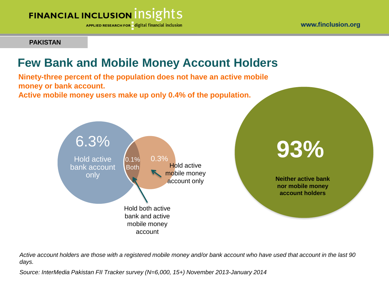APPLIED RESEARCH FOR digital financial inclusion

**PAKISTAN**

### **Few Bank and Mobile Money Account Holders**

**Ninety-three percent of the population does not have an active mobile money or bank account.**

**Active mobile money users make up only 0.4% of the population.** 



**X%**

**Neither active bank nor mobile money account holders** 

*Active account holders are those with a registered mobile money and/or bank account who have used that account in the last 90 days.*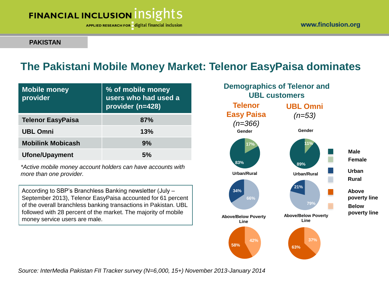APPLIED RESEARCH FOR digital financial inclusion

#### **PAKISTAN**

### **The Pakistani Mobile Money Market: Telenor EasyPaisa dominates**

| <b>Mobile money</b><br>provider | % of mobile money<br>users who had used a<br>provider (n=428) |
|---------------------------------|---------------------------------------------------------------|
| <b>Telenor EasyPaisa</b>        | 87%                                                           |
| <b>UBL Omni</b>                 | 13%                                                           |
| <b>Mobilink Mobicash</b>        | 9%                                                            |
| <b>Ufone/Upayment</b>           | 5%                                                            |

*\*Active mobile money account holders can have accounts with more than one provider.* 

According to SBP's Branchless Banking newsletter (July – September 2013), Telenor EasyPaisa accounted for 61 percent of the overall branchless banking transactions in Pakistan. UBL followed with 28 percent of the market. The majority of mobile money service users are male.

**11% 89% Gender 17% 83% Gender 66% 34% Urban/Rural 42% 58% Above/Below Poverty Line 79% 21% Urban/Rural 37% 63% Above/Below Poverty Line Male Female Urban Rural Above poverty line Below poverty line Telenor Easy Paisa** *(n=366)* **UBL Omni** *(n=53)* **Demographics of Telenor and UBL customers**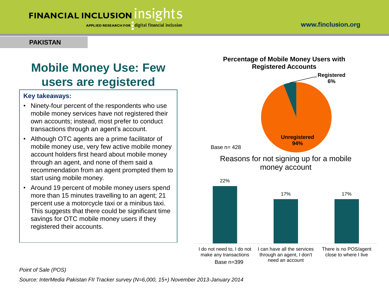APPLIED RESEARCH FOR digital financial inclusion

#### **PAKISTAN**

### **Mobile Money Use: Few users are registered**

#### **Key takeaways:**

- Ninety-four percent of the respondents who use mobile money services have not registered their own accounts; instead, most prefer to conduct transactions through an agent's account.
- Although OTC agents are a prime facilitator of mobile money use, very few active mobile money account holders first heard about mobile money through an agent, and none of them said a recommendation from an agent prompted them to start using mobile money.
- Around 19 percent of mobile money users spend more than 15 minutes travelling to an agent; 21 percent use a motorcycle taxi or a minibus taxi. This suggests that there could be significant time savings for OTC mobile money users if they registered their accounts.

#### **Percentage of Mobile Money Users with Registered Accounts**



#### Reasons for not signing up for a mobile money account



#### *Point of Sale (POS)*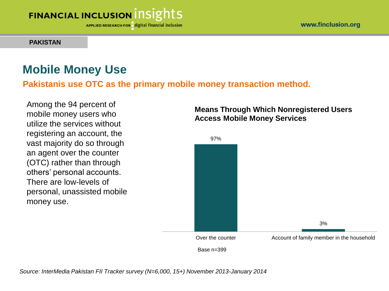APPLIED RESEARCH FOR digital financial inclusion

#### **PAKISTAN**

### **Mobile Money Use**

**Pakistanis use OTC as the primary mobile money transaction method.** 

Among the 94 percent of mobile money users who utilize the services without registering an account, the vast majority do so through an agent over the counter (OTC) rather than through others' personal accounts. There are low-levels of personal, unassisted mobile money use.

#### **Means Through Which Nonregistered Users Access Mobile Money Services**

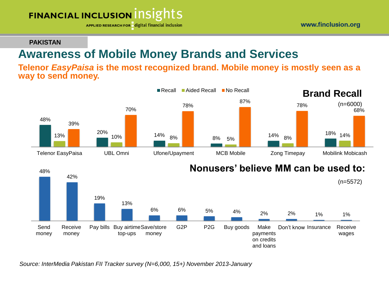APPLIED RESEARCH FOR digital financial inclusion

#### **PAKISTAN**

### **Awareness of Mobile Money Brands and Services**

**Telenor** *EasyPaisa* **is the most recognized brand. Mobile money is mostly seen as a way to send money.**

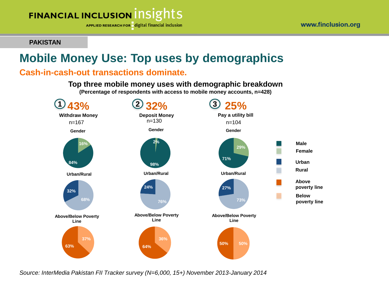

APPLIED RESEARCH FOR digital financial inclusion

**PAKISTAN**

### **Mobile Money Use: Top uses by demographics**

#### **Cash-in-cash-out transactions dominate.**

**Top three mobile money uses with demographic breakdown**

**(Percentage of respondents with access to mobile money accounts, n=428)**

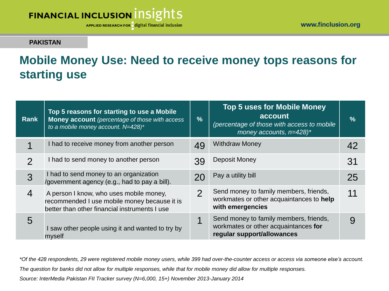APPLIED RESEARCH FOR digital financial inclusion

#### **PAKISTAN**

### **Mobile Money Use: Need to receive money tops reasons for starting use**

| Rank          | Top 5 reasons for starting to use a Mobile<br><b>Money account</b> (percentage of those with access<br>to a mobile money account. N=428)* | $\frac{9}{6}$ | <b>Top 5 uses for Mobile Money</b><br>account<br>(percentage of those with access to mobile<br>money accounts, $n=428$ <sup>*</sup> | $\frac{9}{6}$ |
|---------------|-------------------------------------------------------------------------------------------------------------------------------------------|---------------|-------------------------------------------------------------------------------------------------------------------------------------|---------------|
| 1             | I had to receive money from another person                                                                                                | 49            | <b>Withdraw Money</b>                                                                                                               | 42            |
| $\mathcal{P}$ | I had to send money to another person                                                                                                     | 39            | Deposit Money                                                                                                                       | 31            |
| 3             | I had to send money to an organization<br>/government agency (e.g., had to pay a bill).                                                   |               | Pay a utility bill                                                                                                                  | 25            |
| 4             | A person I know, who uses mobile money,<br>recommended I use mobile money because it is<br>better than other financial instruments I use  | 2             | Send money to family members, friends,<br>workmates or other acquaintances to help<br>with emergencies                              | 11            |
| 5             | I saw other people using it and wanted to try by<br>myself                                                                                |               | Send money to family members, friends,<br>workmates or other acquaintances for<br>regular support/allowances                        | 9             |

*\*Of the 428 respondents, 29 were registered mobile money users, while 399 had over-the-counter access or access via someone else's account. The question for banks did not allow for multiple responses, while that for mobile money did allow for multiple responses.*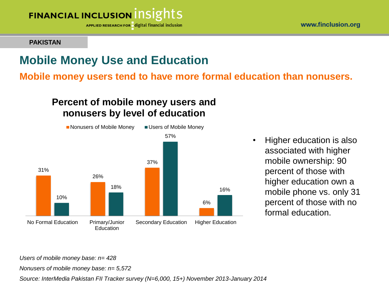

**APPLIED RESEARCH FOR** digital financial inclusion

**PAKISTAN**

### **Mobile Money Use and Education**

**Mobile money users tend to have more formal education than nonusers.** 

#### **Percent of mobile money users and nonusers by level of education**



• Higher education is also associated with higher mobile ownership: 90 percent of those with higher education own a mobile phone vs. only 31 percent of those with no formal education.

*Users of mobile money base: n= 428*

*Nonusers of mobile money base: n= 5,572*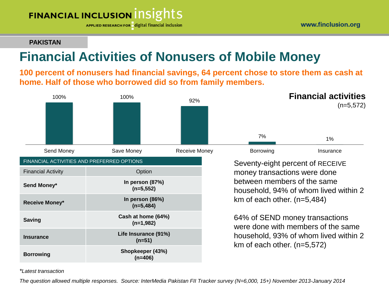APPLIED RESEARCH FOR digital financial inclusion

#### www.finclusion.org

#### **PAKISTAN**

### **Financial Activities of Nonusers of Mobile Money**

**100 percent of nonusers had financial savings, 64 percent chose to store them as cash at home. Half of those who borrowed did so from family members.** 



*\*Latest transaction*

*The question allowed multiple responses. Source: InterMedia Pakistan FII Tracker survey (N=6,000, 15+) November 2013-January 2014*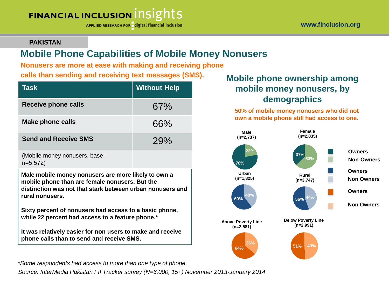APPLIED RESEARCH FOR digital financial inclusion

#### **PAKISTAN**

### **Mobile Phone Capabilities of Mobile Money Nonusers**

**Nonusers are more at ease with making and receiving phone** 

**calls than sending and receiving text messages (SMS).**

| <b>Task</b>                 | <b>Without Help</b> |
|-----------------------------|---------------------|
| <b>Receive phone calls</b>  | 67%                 |
| <b>Make phone calls</b>     | 66%                 |
| <b>Send and Receive SMS</b> | 79%                 |
|                             |                     |

(Mobile money nonusers, base: n=5,572)

**Male mobile money nonusers are more likely to own a mobile phone than are female nonusers. But the distinction was not that stark between urban nonusers and rural nonusers.**

**Sixty percent of nonusers had access to a basic phone, while 22 percent had access to a feature phone.\***

**It was relatively easier for non users to make and receive phone calls than to send and receive SMS.**

*\*Some respondents had access to more than one type of phone.* 

*Source: InterMedia Pakistan FII Tracker survey (N=6,000, 15+) November 2013-January 2014*

#### **Mobile phone ownership among mobile money nonusers, by demographics**

**50% of mobile money nonusers who did not own a mobile phone still had access to one.**

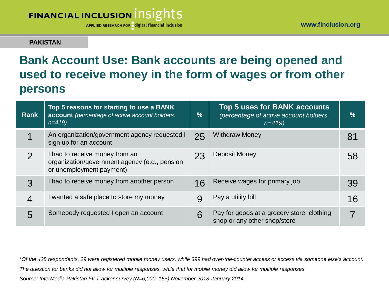APPLIED RESEARCH FOR digital financial inclusion

#### **PAKISTAN**

### **Bank Account Use: Bank accounts are being opened and used to receive money in the form of wages or from other persons**

| Rank           | Top 5 reasons for starting to use a BANK<br>account (percentage of active account holders.<br>$n=419$       | $\frac{9}{6}$ | <b>Top 5 uses for BANK accounts</b><br>(percentage of active account holders,<br>$n=419$ | $\sqrt{2}$ |
|----------------|-------------------------------------------------------------------------------------------------------------|---------------|------------------------------------------------------------------------------------------|------------|
| 1              | An organization/government agency requested I<br>sign up for an account                                     | 25            | <b>Withdraw Money</b>                                                                    | 81         |
| 2              | I had to receive money from an<br>organization/government agency (e.g., pension<br>or unemployment payment) | 23            | Deposit Money                                                                            | 58         |
| 3              | I had to receive money from another person                                                                  | 16            | Receive wages for primary job                                                            | 39         |
| $\overline{4}$ | I wanted a safe place to store my money                                                                     |               | Pay a utility bill                                                                       | 16         |
| 5              | Somebody requested I open an account                                                                        | 6             | Pay for goods at a grocery store, clothing<br>shop or any other shop/store               |            |

*\*Of the 428 respondents, 29 were registered mobile money users, while 399 had over-the-counter access or access via someone else's account. The question for banks did not allow for multiple responses, while that for mobile money did allow for multiple responses.*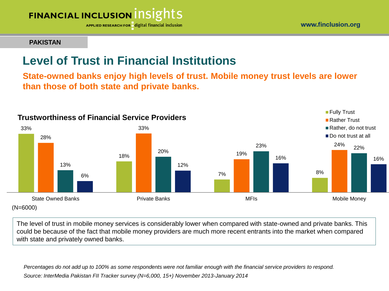

APPLIED RESEARCH FOR digital financial inclusion

www.finclusion.org

#### **PAKISTAN**

### **Level of Trust in Financial Institutions**

**State-owned banks enjoy high levels of trust. Mobile money trust levels are lower than those of both state and private banks.**



The level of trust in mobile money services is considerably lower when compared with state-owned and private banks. This could be because of the fact that mobile money providers are much more recent entrants into the market when compared with state and privately owned banks.

*Percentages do not add up to 100% as some respondents were not familiar enough with the financial service providers to respond. Source: InterMedia Pakistan FII Tracker survey (N=6,000, 15+) November 2013-January 2014*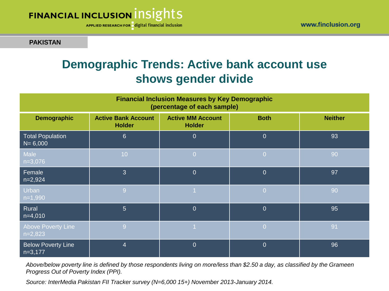APPLIED RESEARCH FOR digital financial inclusion

#### **PAKISTAN**

### **Demographic Trends: Active bank account use shows gender divide**

| <b>Financial Inclusion Measures by Key Demographic</b><br>(percentage of each sample) |                                             |                                           |                |                |  |  |
|---------------------------------------------------------------------------------------|---------------------------------------------|-------------------------------------------|----------------|----------------|--|--|
| <b>Demographic</b>                                                                    | <b>Active Bank Account</b><br><b>Holder</b> | <b>Active MM Account</b><br><b>Holder</b> | <b>Both</b>    | <b>Neither</b> |  |  |
| <b>Total Population</b><br>$N = 6,000$                                                | $6\phantom{1}6$                             | $\overline{0}$                            | $\overline{0}$ | 93             |  |  |
| Male<br>$n=3,076$                                                                     | 10                                          | $\overline{0}$                            | $\overline{0}$ | 90             |  |  |
| Female<br>$n=2,924$                                                                   | 3                                           | $\overline{0}$                            | $\overline{0}$ | 97             |  |  |
| <b>Urban</b><br>$n=1,990$                                                             | 9                                           |                                           | $\overline{0}$ | 90             |  |  |
| Rural<br>$n=4,010$                                                                    | $\overline{5}$                              | $\overline{0}$                            | $\overline{0}$ | 95             |  |  |
| <b>Above Poverty Line</b><br>$n=2,823$                                                | 9                                           |                                           | $\overline{0}$ | 91             |  |  |
| <b>Below Poverty Line</b><br>$n=3,177$                                                | $\overline{4}$                              | $\overline{0}$                            | $\overline{0}$ | 96             |  |  |

*Above/below poverty line is defined by those respondents living on more/less than \$2.50 a day, as classified by the Grameen Progress Out of Poverty Index (PPI).*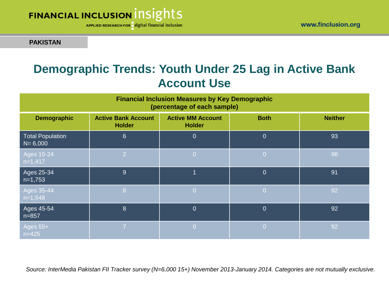



APPLIED RESEARCH FOR digital financial inclusion

#### **PAKISTAN**

### **Demographic Trends: Youth Under 25 Lag in Active Bank Account Use**

| <b>Financial Inclusion Measures by Key Demographic</b><br>(percentage of each sample) |                                             |                                           |                |                |  |
|---------------------------------------------------------------------------------------|---------------------------------------------|-------------------------------------------|----------------|----------------|--|
| <b>Demographic</b>                                                                    | <b>Active Bank Account</b><br><b>Holder</b> | <b>Active MM Account</b><br><b>Holder</b> | <b>Both</b>    | <b>Neither</b> |  |
| <b>Total Population</b><br>$N = 6,000$                                                | $6\phantom{1}$                              | $\overline{0}$                            | $\overline{0}$ | 93             |  |
| $\overline{\text{Ages}}$ 15-24<br>$n=1,417$                                           | $\overline{2}$                              | $\overline{0}$                            | $\overline{0}$ | 98             |  |
| Ages 25-34<br>$n=1,753$                                                               | 9                                           | 1                                         | $\overline{0}$ | 91             |  |
| Ages 35-44<br>$n=1,548$                                                               | 8                                           | $\Omega$                                  | $\overline{0}$ | 92             |  |
| $\overline{\text{Ages }45}$ -54<br>$n = 857$                                          | 8                                           | $\overline{0}$                            | $\overline{0}$ | 92             |  |
| Ages 55+<br>$n = 425$                                                                 | 7                                           | l Oi                                      | $\overline{0}$ | 92             |  |

*Source: InterMedia Pakistan FII Tracker survey (N=6,000 15+) November 2013-January 2014. Categories are not mutually exclusive.*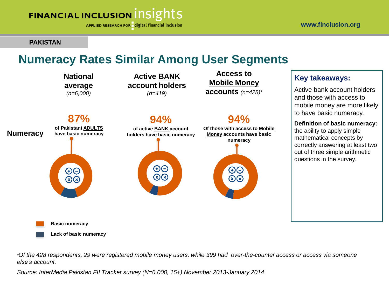APPLIED RESEARCH FOR digital financial inclusion

#### **PAKISTAN**

### **Numeracy Rates Similar Among User Segments**



*\*Of the 428 respondents, 29 were registered mobile money users, while 399 had over-the-counter access or access via someone else's account.*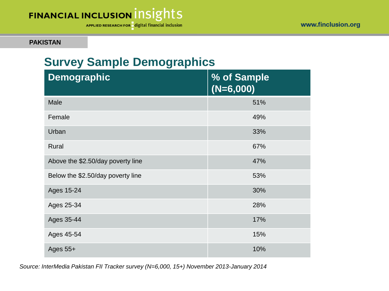APPLIED RESEARCH FOR digital financial inclusion

#### **PAKISTAN**

### **Survey Sample Demographics**

| <b>Demographic</b>                | % of Sample<br>$(N=6,000)$ |
|-----------------------------------|----------------------------|
| Male                              | 51%                        |
| Female                            | 49%                        |
| Urban                             | 33%                        |
| Rural                             | 67%                        |
| Above the \$2.50/day poverty line | 47%                        |
| Below the \$2.50/day poverty line | 53%                        |
| Ages 15-24                        | 30%                        |
| Ages 25-34                        | 28%                        |
| Ages 35-44                        | 17%                        |
| Ages 45-54                        | 15%                        |
| Ages 55+                          | 10%                        |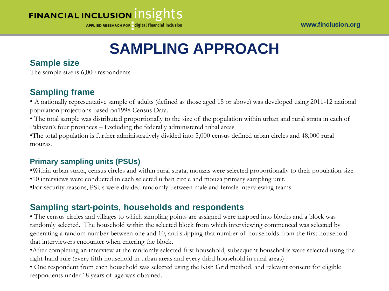APPLIED RESEARCH FOR digital financial inclusion

# **SAMPLING APPROACH**

#### **Sample size**

The sample size is  $6,000$  respondents.

#### **Sampling frame**

• A nationally representative sample of adults (defined as those aged 15 or above) was developed using 2011-12 national population projections based on1998 Census Data.

• The total sample was distributed proportionally to the size of the population within urban and rural strata in each of Pakistan's four provinces – Excluding the federally administered tribal areas

•The total population is further administratively divided into 5,000 census defined urban circles and 48,000 rural mouzas.

#### **Primary sampling units (PSUs)**

•Within urban strata, census circles and within rural strata, mouzas were selected proportionally to their population size.

•10 interviews were conducted in each selected urban circle and mouza primary sampling unit.

•For security reasons, PSUs were divided randomly between male and female interviewing teams

#### **Sampling start-points, households and respondents**

• The census circles and villages to which sampling points are assigned were mapped into blocks and a block was randomly selected. The household within the selected block from which interviewing commenced was selected by generating a random number between one and 10, and skipping that number of households from the first household that interviewers encounter when entering the block.

•After completing an interview at the randomly selected first household, subsequent households were selected using the right-hand rule (every fifth household in urban areas and every third household in rural areas)

• One respondent from each household was selected using the Kish Grid method, and relevant consent for eligible respondents under 18 years of age was obtained.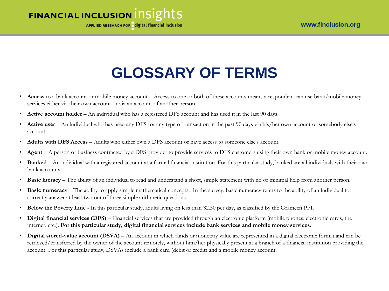APPLIED RESEARCH FOR digital financial inclusion

# **GLOSSARY OF TERMS**

- **Access** to a bank account or mobile money account Access to one or both of these accounts means a respondent can use bank/mobile money services either via their own account or via an account of another person.
- **Active account holder** An individual who has a registered DFS account and has used it in the last 90 days.
- **Active user** An individual who has used any DFS for any type of transaction in the past 90 days via his/her own account or somebody else's account.
- **Adults with DFS Access** Adults who either own a DFS account or have access to someone else's account.
- **Agent** A person or business contracted by a DFS provider to provide services to DFS customers using their own bank or mobile money account.
- **Banked** An individual with a registered account at a formal financial institution. For this particular study, banked are all individuals with their own bank accounts.
- **Basic literacy**  The ability of an individual to read and understand a short, simple statement with no or minimal help from another person.
- **Basic numeracy** The ability to apply simple mathematical concepts. In the survey, basic numeracy refers to the ability of an individual to correctly answer at least two out of three simple arithmetic questions.
- **Below the Poverty Line**  In this particular study, adults living on less than \$2.50 per day, as classified by the Grameen PPI.
- **Digital financial services (DFS)** Financial services that are provided through an electronic platform (mobile phones, electronic cards, the internet, etc.). **For this particular study, digital financial services include bank services and mobile money services**.
- **Digital stored-value account (DSVA)** An account in which funds or monetary value are represented in a digital electronic format and can be retrieved/transferred by the owner of the account remotely, without him/her physically present at a branch of a financial institution providing the account. For this particular study, DSVAs include a bank card (debit or credit) and a mobile money account.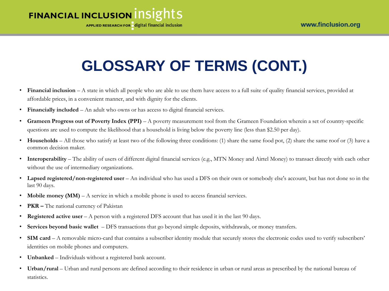

# **GLOSSARY OF TERMS (CONT.)**

- **Financial inclusion** A state in which all people who are able to use them have access to a full suite of quality financial services, provided at affordable prices, in a convenient manner, and with dignity for the clients.
- **Financially included**  An adult who owns or has access to digital financial services.
- Grameen Progress out of Poverty Index (PPI) A poverty measurement tool from the Grameen Foundation wherein a set of country-specific questions are used to compute the likelihood that a household is living below the poverty line (less than \$2.50 per day).
- **Households**  All those who satisfy at least two of the following three conditions: (1) share the same food pot, (2) share the same roof or (3) have a common decision maker.
- **Interoperability** The ability of users of different digital financial services (e.g., MTN Money and Airtel Money) to transact directly with each other without the use of intermediary organizations.
- **Lapsed registered/non-registered user**  An individual who has used a DFS on their own or somebody else's account, but has not done so in the last 90 days.
- **Mobile money (MM)** A service in which a mobile phone is used to access financial services.
- **PKR –** The national currency of Pakistan
- **Registered active user**  A person with a registered DFS account that has used it in the last 90 days.
- **Services beyond basic wallet**  DFS transactions that go beyond simple deposits, withdrawals, or money transfers.
- **SIM card** A removable micro-card that contains a subscriber identity module that securely stores the electronic codes used to verify subscribers' identities on mobile phones and computers.
- **Unbanked** Individuals without a registered bank account.
- Urban/rural Urban and rural persons are defined according to their residence in urban or rural areas as prescribed by the national bureau of statistics.